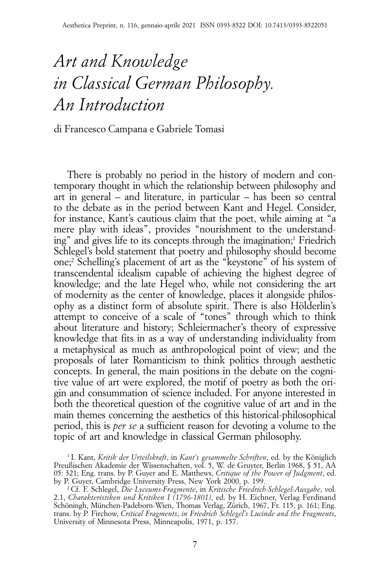## *Art and Knowledge in Classical German Philosophy. An Introduction*

di Francesco Campana e Gabriele Tomasi

There is probably no period in the history of modern and contemporary thought in which the relationship between philosophy and art in general – and literature, in particular – has been so central to the debate as in the period between Kant and Hegel. Consider, for instance, Kant's cautious claim that the poet, while aiming at "a mere play with ideas", provides "nourishment to the understanding" and gives life to its concepts through the imagination;1 Friedrich Schlegel's bold statement that poetry and philosophy should become one;2 Schelling's placement of art as the "keystone" of his system of transcendental idealism capable of achieving the highest degree of knowledge; and the late Hegel who, while not considering the art of modernity as the center of knowledge, places it alongside philosophy as a distinct form of absolute spirit. There is also Hölderlin's attempt to conceive of a scale of "tones" through which to think about literature and history; Schleiermacher's theory of expressive knowledge that fits in as a way of understanding individuality from a metaphysical as much as anthropological point of view; and the proposals of later Romanticism to think politics through aesthetic concepts. In general, the main positions in the debate on the cognitive value of art were explored, the motif of poetry as both the origin and consummation of science included. For anyone interested in both the theoretical question of the cognitive value of art and in the main themes concerning the aesthetics of this historical-philosophical period, this is *per se* a sufficient reason for devoting a volume to the topic of art and knowledge in classical German philosophy.

<sup>1</sup> I. Kant, *Kritik der Urteilskraft*, in *Kant's gesammelte Schriften*, ed. by the Königlich Preußischen Akademie der Wissenschaften, vol. 5, W. de Gruyter, Berlin 1968, § 51, AA 05: 321; Eng. trans. by P. Guyer and E. Matthews, *Critique of the Power of Judgment*, ed. by P. Guyer, Cambridge University Press, New York 2000, p. 199.

<sup>2</sup> Cf. F. Schlegel, *Die Lyceums-Fragmente*, in *Kritische Friedrich-Schlegel-Ausgabe*, vol. 2.1, *Charakteristiken und Kritiken I (1796-1801)*, ed. by H. Eichner, Verlag Ferdinand Schöningh, München-Padeborn-Wien, Thomas Verlag, Zürich, 1967, Fr. 115, p. 161; Eng. trans. by P. Firchow, *Critical Fragments*, *in Friedrich Schlegel's Lucinde and the Fragments*, University of Minnesota Press, Minneapolis, 1971, p. 157.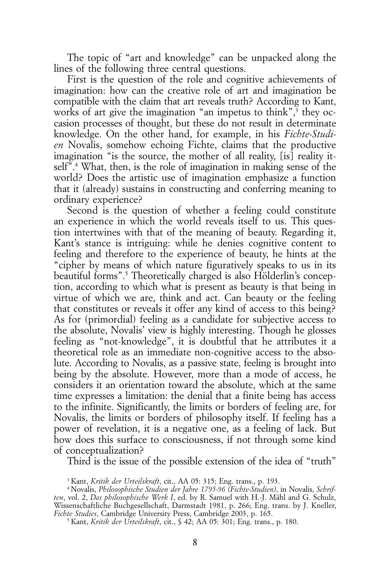The topic of "art and knowledge" can be unpacked along the lines of the following three central questions.

First is the question of the role and cognitive achievements of imagination: how can the creative role of art and imagination be compatible with the claim that art reveals truth? According to Kant, works of art give the imagination "an impetus to think",<sup>3</sup> they occasion processes of thought, but these do not result in determinate knowledge. On the other hand, for example, in his *Fichte-Studien* Novalis, somehow echoing Fichte, claims that the productive imagination "is the source, the mother of all reality, [is] reality itself".4 What, then, is the role of imagination in making sense of the world? Does the artistic use of imagination emphasize a function that it (already) sustains in constructing and conferring meaning to ordinary experience?

Second is the question of whether a feeling could constitute an experience in which the world reveals itself to us. This question intertwines with that of the meaning of beauty. Regarding it, Kant's stance is intriguing: while he denies cognitive content to feeling and therefore to the experience of beauty, he hints at the "cipher by means of which nature figuratively speaks to us in its beautiful forms".<sup>5</sup> Theoretically charged is also Hölderlin's conception, according to which what is present as beauty is that being in virtue of which we are, think and act. Can beauty or the feeling that constitutes or reveals it offer any kind of access to this being? As for (primordial) feeling as a candidate for subjective access to the absolute, Novalis' view is highly interesting. Though he glosses feeling as "not-knowledge", it is doubtful that he attributes it a theoretical role as an immediate non-cognitive access to the absolute. According to Novalis, as a passive state, feeling is brought into being by the absolute. However, more than a mode of access, he considers it an orientation toward the absolute, which at the same time expresses a limitation: the denial that a finite being has access to the infinite. Significantly, the limits or borders of feeling are, for Novalis, the limits or borders of philosophy itself. If feeling has a power of revelation, it is a negative one, as a feeling of lack. But how does this surface to consciousness, if not through some kind of conceptualization?

Third is the issue of the possible extension of the idea of "truth"

<sup>3</sup> Kant, *Kritik der Urteilskraft*, cit., AA 05: 315; Eng. trans., p. 193.

<sup>4</sup> Novalis, *Philosophische Studien der Jahre 1795-96 (Fichte-Studien)*, in Novalis, *Schriften*, vol. 2, *Das philosophische Werk I*, ed. by R. Samuel with H.-J. Mähl and G. Schulz, Wissenschaftliche Buchgesellschaft, Darmstadt 1981, p. 266; Eng. trans. by J. Kneller, *Fichte Studies*, Cambridge University Press, Cambridge 2003, p. 165.

<sup>5</sup> Kant, *Kritik der Urteilskraft*, cit., § 42; AA 05: 301; Eng. trans., p. 180.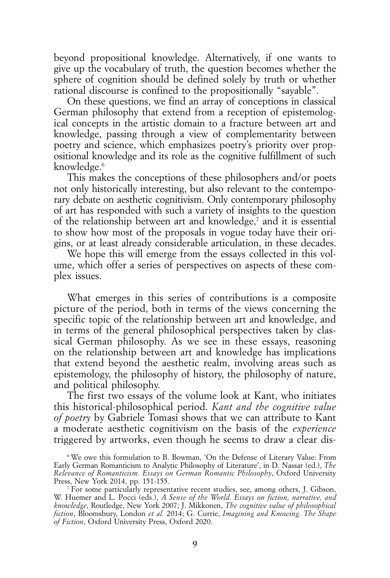beyond propositional knowledge. Alternatively, if one wants to give up the vocabulary of truth, the question becomes whether the sphere of cognition should be defined solely by truth or whether rational discourse is confined to the propositionally "sayable".

On these questions, we find an array of conceptions in classical German philosophy that extend from a reception of epistemological concepts in the artistic domain to a fracture between art and knowledge, passing through a view of complementarity between poetry and science, which emphasizes poetry's priority over propositional knowledge and its role as the cognitive fulfillment of such knowledge.<sup>6</sup>

This makes the conceptions of these philosophers and/or poets not only historically interesting, but also relevant to the contemporary debate on aesthetic cognitivism. Only contemporary philosophy of art has responded with such a variety of insights to the question of the relationship between art and knowledge, $\bar{z}$  and it is essential to show how most of the proposals in vogue today have their origins, or at least already considerable articulation, in these decades.

We hope this will emerge from the essays collected in this volume, which offer a series of perspectives on aspects of these complex issues.

What emerges in this series of contributions is a composite picture of the period, both in terms of the views concerning the specific topic of the relationship between art and knowledge, and in terms of the general philosophical perspectives taken by classical German philosophy. As we see in these essays, reasoning on the relationship between art and knowledge has implications that extend beyond the aesthetic realm, involving areas such as epistemology, the philosophy of history, the philosophy of nature, and political philosophy.

The first two essays of the volume look at Kant, who initiates this historical-philosophical period. *Kant and the cognitive value of poetry* by Gabriele Tomasi shows that we can attribute to Kant a moderate aesthetic cognitivism on the basis of the *experience* triggered by artworks, even though he seems to draw a clear dis-

<sup>6</sup> We owe this formulation to B. Bowman, 'On the Defense of Literary Value: From Early German Romanticism to Analytic Philosophy of Literature', in D. Nassar (ed.), *The Relevance of Romanticism. Essays on German Romantic Philosophy*, Oxford University Press, New York 2014, pp. 151-155.

<sup>7</sup> For some particularly representative recent studies, see, among others, J. Gibson, W. Huemer and L. Pocci (eds.), *A Sense of the World. Essays on fiction, narrative, and knowledge*, Routledge, New York 2007; J. Mikkonen, *The cognitive value of philosophical fiction*, Bloomsbury, London *et al.* 2014; G. Currie, *Imagining and Knowing. The Shape of Fiction*, Oxford University Press, Oxford 2020.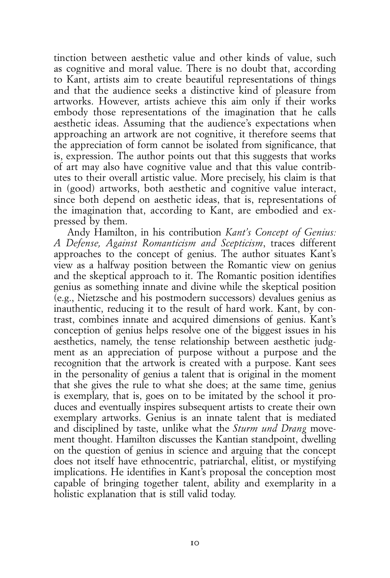tinction between aesthetic value and other kinds of value, such as cognitive and moral value. There is no doubt that, according to Kant, artists aim to create beautiful representations of things and that the audience seeks a distinctive kind of pleasure from artworks. However, artists achieve this aim only if their works embody those representations of the imagination that he calls aesthetic ideas. Assuming that the audience's expectations when approaching an artwork are not cognitive, it therefore seems that the appreciation of form cannot be isolated from significance, that is, expression. The author points out that this suggests that works of art may also have cognitive value and that this value contributes to their overall artistic value. More precisely, his claim is that in (good) artworks, both aesthetic and cognitive value interact, since both depend on aesthetic ideas, that is, representations of the imagination that, according to Kant, are embodied and expressed by them.

Andy Hamilton, in his contribution *Kant's Concept of Genius: A Defense, Against Romanticism and Scepticism*, traces different approaches to the concept of genius. The author situates Kant's view as a halfway position between the Romantic view on genius and the skeptical approach to it. The Romantic position identifies genius as something innate and divine while the skeptical position (e.g., Nietzsche and his postmodern successors) devalues genius as inauthentic, reducing it to the result of hard work. Kant, by contrast, combines innate and acquired dimensions of genius. Kant's conception of genius helps resolve one of the biggest issues in his aesthetics, namely, the tense relationship between aesthetic judgment as an appreciation of purpose without a purpose and the recognition that the artwork is created with a purpose. Kant sees in the personality of genius a talent that is original in the moment that she gives the rule to what she does; at the same time, genius is exemplary, that is, goes on to be imitated by the school it produces and eventually inspires subsequent artists to create their own exemplary artworks. Genius is an innate talent that is mediated and disciplined by taste, unlike what the *Sturm und Drang* movement thought. Hamilton discusses the Kantian standpoint, dwelling on the question of genius in science and arguing that the concept does not itself have ethnocentric, patriarchal, elitist, or mystifying implications. He identifies in Kant's proposal the conception most capable of bringing together talent, ability and exemplarity in a holistic explanation that is still valid today.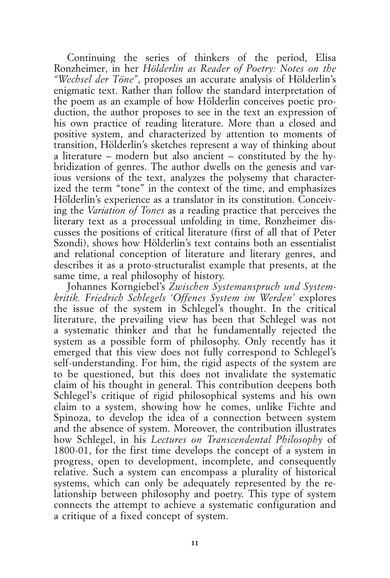Continuing the series of thinkers of the period, Elisa Ronzheimer, in her *Hölderlin as Reader of Poetry: Notes on the "Wechsel der Töne"*, proposes an accurate analysis of Hölderlin's enigmatic text. Rather than follow the standard interpretation of the poem as an example of how Hölderlin conceives poetic production, the author proposes to see in the text an expression of his own practice of reading literature. More than a closed and positive system, and characterized by attention to moments of transition, Hölderlin's sketches represent a way of thinking about a literature – modern but also ancient – constituted by the hybridization of genres. The author dwells on the genesis and various versions of the text, analyzes the polysemy that characterized the term "tone" in the context of the time, and emphasizes Hölderlin's experience as a translator in its constitution. Conceiving the *Variation of Tones* as a reading practice that perceives the literary text as a processual unfolding in time, Ronzheimer discusses the positions of critical literature (first of all that of Peter Szondi), shows how Hölderlin's text contains both an essentialist and relational conception of literature and literary genres, and describes it as a proto-structuralist example that presents, at the same time, a real philosophy of history.

Johannes Korngiebel's *Zwischen Systemanspruch und Systemkritik. Friedrich Schlegels 'Offenes System im Werden'* explores the issue of the system in Schlegel's thought. In the critical literature, the prevailing view has been that Schlegel was not a systematic thinker and that he fundamentally rejected the system as a possible form of philosophy. Only recently has it emerged that this view does not fully correspond to Schlegel's self-understanding. For him, the rigid aspects of the system are to be questioned, but this does not invalidate the systematic claim of his thought in general. This contribution deepens both Schlegel's critique of rigid philosophical systems and his own claim to a system, showing how he comes, unlike Fichte and Spinoza, to develop the idea of a connection between system and the absence of system. Moreover, the contribution illustrates how Schlegel, in his *Lectures on Transcendental Philosophy* of 1800-01, for the first time develops the concept of a system in progress, open to development, incomplete, and consequently relative. Such a system can encompass a plurality of historical systems, which can only be adequately represented by the relationship between philosophy and poetry. This type of system connects the attempt to achieve a systematic configuration and a critique of a fixed concept of system.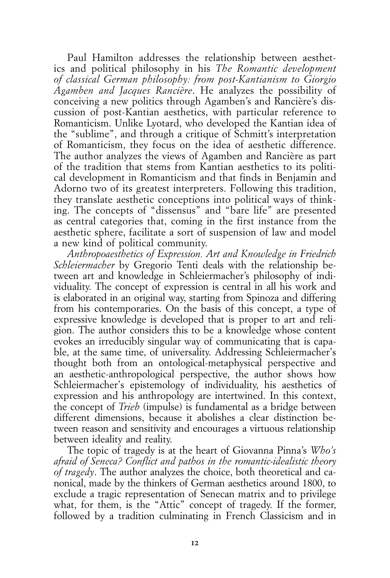Paul Hamilton addresses the relationship between aesthetics and political philosophy in his *The Romantic development of classical German philosophy: from post-Kantianism to Giorgio Agamben and Jacques Rancière*. He analyzes the possibility of conceiving a new politics through Agamben's and Rancière's discussion of post-Kantian aesthetics, with particular reference to Romanticism. Unlike Lyotard, who developed the Kantian idea of the "sublime", and through a critique of Schmitt's interpretation of Romanticism, they focus on the idea of aesthetic difference. The author analyzes the views of Agamben and Rancière as part of the tradition that stems from Kantian aesthetics to its political development in Romanticism and that finds in Benjamin and Adorno two of its greatest interpreters. Following this tradition, they translate aesthetic conceptions into political ways of thinking. The concepts of "dissensus" and "bare life" are presented as central categories that, coming in the first instance from the aesthetic sphere, facilitate a sort of suspension of law and model a new kind of political community.

*Anthropoaesthetics of Expression. Art and Knowledge in Friedrich Schleiermacher* by Gregorio Tenti deals with the relationship between art and knowledge in Schleiermacher's philosophy of individuality. The concept of expression is central in all his work and is elaborated in an original way, starting from Spinoza and differing from his contemporaries. On the basis of this concept, a type of expressive knowledge is developed that is proper to art and religion. The author considers this to be a knowledge whose content evokes an irreducibly singular way of communicating that is capable, at the same time, of universality. Addressing Schleiermacher's thought both from an ontological-metaphysical perspective and an aesthetic-anthropological perspective, the author shows how Schleiermacher's epistemology of individuality, his aesthetics of expression and his anthropology are intertwined. In this context, the concept of *Trieb* (impulse) is fundamental as a bridge between different dimensions, because it abolishes a clear distinction between reason and sensitivity and encourages a virtuous relationship between ideality and reality.

The topic of tragedy is at the heart of Giovanna Pinna's *Who's afraid of Seneca? Conflict and pathos in the romantic-idealistic theory of tragedy*. The author analyzes the choice, both theoretical and canonical, made by the thinkers of German aesthetics around 1800, to exclude a tragic representation of Senecan matrix and to privilege what, for them, is the "Attic" concept of tragedy. If the former, followed by a tradition culminating in French Classicism and in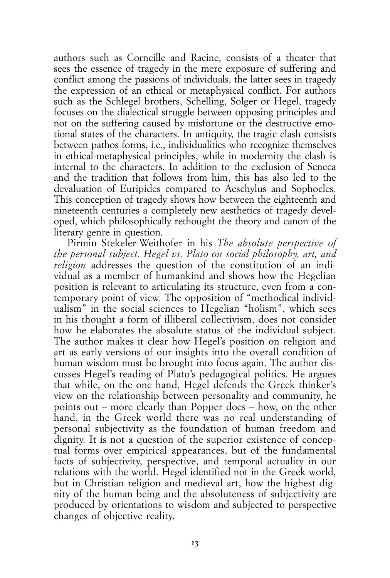authors such as Corneille and Racine, consists of a theater that sees the essence of tragedy in the mere exposure of suffering and conflict among the passions of individuals, the latter sees in tragedy the expression of an ethical or metaphysical conflict. For authors such as the Schlegel brothers, Schelling, Solger or Hegel, tragedy focuses on the dialectical struggle between opposing principles and not on the suffering caused by misfortune or the destructive emotional states of the characters. In antiquity, the tragic clash consists between pathos forms, i.e., individualities who recognize themselves in ethical-metaphysical principles, while in modernity the clash is internal to the characters. In addition to the exclusion of Seneca and the tradition that follows from him, this has also led to the devaluation of Euripides compared to Aeschylus and Sophocles. This conception of tragedy shows how between the eighteenth and nineteenth centuries a completely new aesthetics of tragedy developed, which philosophically rethought the theory and canon of the literary genre in question.

Pirmin Stekeler-Weithofer in his *The absolute perspective of the personal subject. Hegel vs. Plato on social philosophy, art, and religion* addresses the question of the constitution of an individual as a member of humankind and shows how the Hegelian position is relevant to articulating its structure, even from a contemporary point of view. The opposition of "methodical individualism" in the social sciences to Hegelian "holism", which sees in his thought a form of illiberal collectivism, does not consider how he elaborates the absolute status of the individual subject. The author makes it clear how Hegel's position on religion and art as early versions of our insights into the overall condition of human wisdom must be brought into focus again. The author discusses Hegel's reading of Plato's pedagogical politics. He argues that while, on the one hand, Hegel defends the Greek thinker's view on the relationship between personality and community, he points out – more clearly than Popper does – how, on the other hand, in the Greek world there was no real understanding of personal subjectivity as the foundation of human freedom and dignity. It is not a question of the superior existence of conceptual forms over empirical appearances, but of the fundamental facts of subjectivity, perspective, and temporal actuality in our relations with the world. Hegel identified not in the Greek world, but in Christian religion and medieval art, how the highest dignity of the human being and the absoluteness of subjectivity are produced by orientations to wisdom and subjected to perspective changes of objective reality.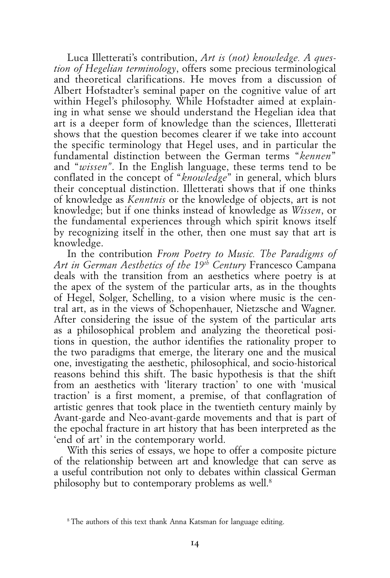Luca Illetterati's contribution, *Art is (not) knowledge. A question of Hegelian terminology*, offers some precious terminological and theoretical clarifications. He moves from a discussion of Albert Hofstadter's seminal paper on the cognitive value of art within Hegel's philosophy. While Hofstadter aimed at explaining in what sense we should understand the Hegelian idea that art is a deeper form of knowledge than the sciences, Illetterati shows that the question becomes clearer if we take into account the specific terminology that Hegel uses, and in particular the fundamental distinction between the German terms "*kennen*" and "*wissen"*. In the English language, these terms tend to be conflated in the concept of "*knowledge*" in general, which blurs their conceptual distinction. Illetterati shows that if one thinks of knowledge as *Kenntnis* or the knowledge of objects, art is not knowledge; but if one thinks instead of knowledge as *Wissen*, or the fundamental experiences through which spirit knows itself by recognizing itself in the other, then one must say that art is knowledge.

In the contribution *From Poetry to Music. The Paradigms of Art in German Aesthetics of the 19th Century* Francesco Campana deals with the transition from an aesthetics where poetry is at the apex of the system of the particular arts, as in the thoughts of Hegel, Solger, Schelling, to a vision where music is the central art, as in the views of Schopenhauer, Nietzsche and Wagner. After considering the issue of the system of the particular arts as a philosophical problem and analyzing the theoretical positions in question, the author identifies the rationality proper to the two paradigms that emerge, the literary one and the musical one, investigating the aesthetic, philosophical, and socio-historical reasons behind this shift. The basic hypothesis is that the shift from an aesthetics with 'literary traction' to one with 'musical traction' is a first moment, a premise, of that conflagration of artistic genres that took place in the twentieth century mainly by Avant-garde and Neo-avant-garde movements and that is part of the epochal fracture in art history that has been interpreted as the 'end of art' in the contemporary world.

With this series of essays, we hope to offer a composite picture of the relationship between art and knowledge that can serve as a useful contribution not only to debates within classical German philosophy but to contemporary problems as well.8

<sup>&</sup>lt;sup>8</sup> The authors of this text thank Anna Katsman for language editing.